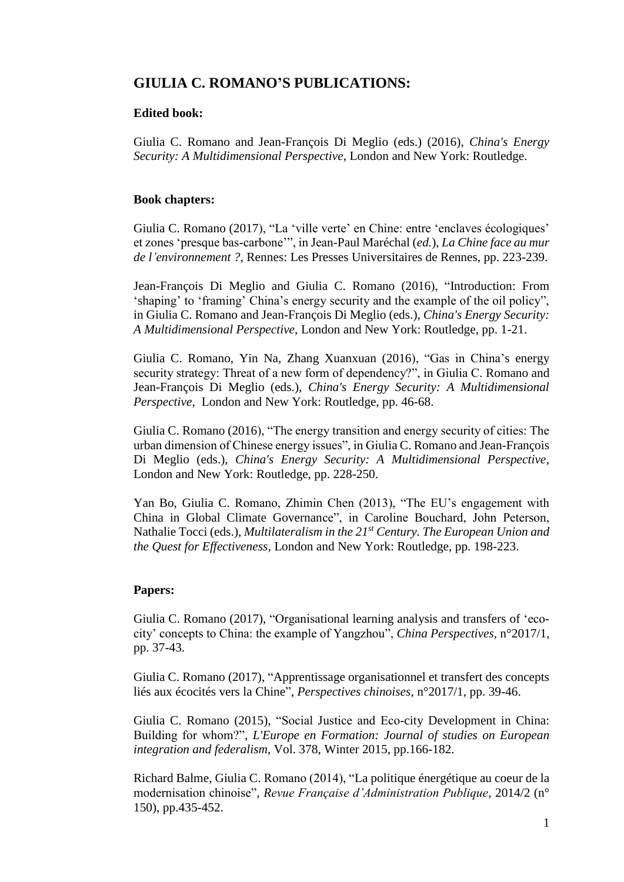# **GIULIA C. ROMANO'S PUBLICATIONS:**

#### **Edited book:**

Giulia C. Romano and Jean-François Di Meglio (eds.) (2016), *China's Energy Security: A Multidimensional Perspective*, London and New York: Routledge.

### **Book chapters:**

Giulia C. Romano (2017), "La 'ville verte' en Chine: entre 'enclaves écologiques' et zones 'presque bas-carbone'", in Jean-Paul Maréchal (*ed.*), *La Chine face au mur de l'environnement ?*, Rennes: Les Presses Universitaires de Rennes, pp. 223-239.

Jean-François Di Meglio and Giulia C. Romano (2016), "Introduction: From 'shaping' to 'framing' China's energy security and the example of the oil policy", in Giulia C. Romano and Jean-François Di Meglio (eds.), *China's Energy Security: A Multidimensional Perspective*, London and New York: Routledge, pp. 1-21.

Giulia C. Romano, Yin Na, Zhang Xuanxuan (2016), "Gas in China's energy security strategy: Threat of a new form of dependency?", in Giulia C. Romano and Jean-François Di Meglio (eds.), *China's Energy Security: A Multidimensional Perspective*, London and New York: Routledge, pp. 46-68.

Giulia C. Romano (2016), "The energy transition and energy security of cities: The urban dimension of Chinese energy issues", in Giulia C. Romano and Jean-François Di Meglio (eds.), *China's Energy Security: A Multidimensional Perspective*, London and New York: Routledge, pp. 228-250.

Yan Bo, Giulia C. Romano, Zhimin Chen (2013), "The EU's engagement with China in Global Climate Governance", in Caroline Bouchard, John Peterson, Nathalie Tocci (eds.), *Multilateralism in the 21st Century. The European Union and the Quest for Effectiveness*, London and New York: Routledge, pp. 198-223.

## **Papers:**

Giulia C. Romano (2017), "Organisational learning analysis and transfers of 'ecocity' concepts to China: the example of Yangzhou", *China Perspectives*, n°2017/1, pp. 37-43.

Giulia C. Romano (2017), "Apprentissage organisationnel et transfert des concepts liés aux écocités vers la Chine", *Perspectives chinoises*, n°2017/1, pp. 39-46.

Giulia C. Romano (2015), "Social Justice and Eco-city Development in China: Building for whom?", *L'Europe en Formation: Journal of studies on European integration and federalism*, Vol. 378, Winter 2015, pp.166-182.

Richard Balme, Giulia C. Romano (2014), "La politique énergétique au coeur de la modernisation chinoise", *Revue Française d'Administration Publique*, 2014/2 (n° 150), pp.435-452.